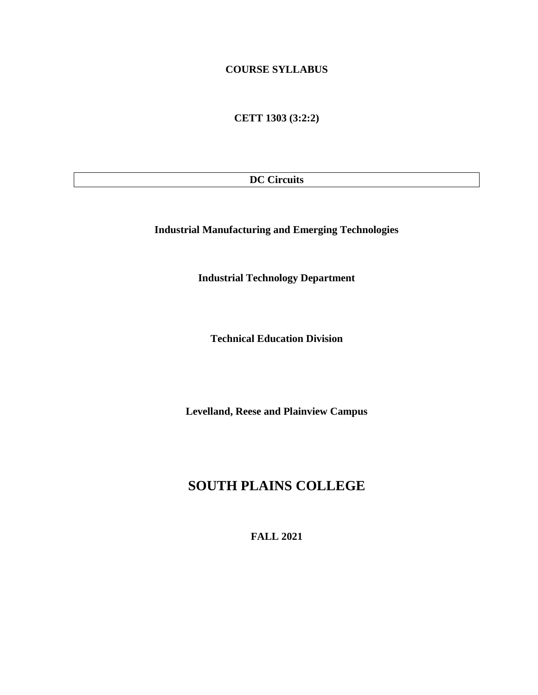## **COURSE SYLLABUS**

**CETT 1303 (3:2:2)**

**DC Circuits**

**Industrial Manufacturing and Emerging Technologies**

**Industrial Technology Department**

**Technical Education Division**

**Levelland, Reese and Plainview Campus**

# **SOUTH PLAINS COLLEGE**

**FALL 2021**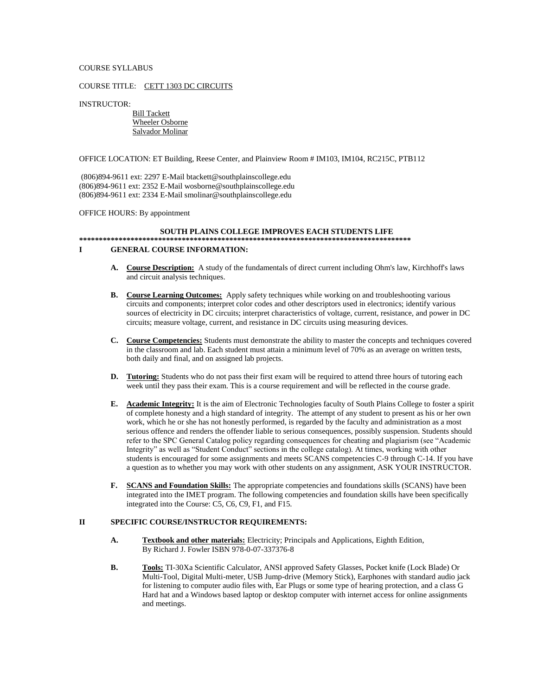#### COURSE SYLLABUS

#### COURSE TITLE: CETT 1303 DC CIRCUITS

INSTRUCTOR:

 Bill Tackett Wheeler Osborne Salvador Molinar

#### OFFICE LOCATION: ET Building, Reese Center, and Plainview Room # IM103, IM104, RC215C, PTB112

(806)894-9611 ext: 2297 E-Mail btackett@southplainscollege.edu (806)894-9611 ext: 2352 E-Mail wosborne@southplainscollege.edu (806)894-9611 ext: 2334 E-Mail smolinar@southplainscollege.edu

#### OFFICE HOURS: By appointment

#### **SOUTH PLAINS COLLEGE IMPROVES EACH STUDENTS LIFE \*\*\*\*\*\*\*\*\*\*\*\*\*\*\*\*\*\*\*\*\*\*\*\*\*\*\*\*\*\*\*\*\*\*\*\*\*\*\*\*\*\*\*\*\*\*\*\*\*\*\*\*\*\*\*\*\*\*\*\*\*\*\*\*\*\*\*\*\*\*\*\*\*\*\*\*\*\*\*\*\*\*\*\* I GENERAL COURSE INFORMATION:**

- **A. Course Description:** A study of the fundamentals of direct current including Ohm's law, Kirchhoff's laws and circuit analysis techniques.
- **B. Course Learning Outcomes:** Apply safety techniques while working on and troubleshooting various circuits and components; interpret color codes and other descriptors used in electronics; identify various sources of electricity in DC circuits; interpret characteristics of voltage, current, resistance, and power in DC circuits; measure voltage, current, and resistance in DC circuits using measuring devices.
- **C. Course Competencies:** Students must demonstrate the ability to master the concepts and techniques covered in the classroom and lab. Each student must attain a minimum level of 70% as an average on written tests, both daily and final, and on assigned lab projects.
- **D. Tutoring:** Students who do not pass their first exam will be required to attend three hours of tutoring each week until they pass their exam. This is a course requirement and will be reflected in the course grade.
- **E. Academic Integrity:** It is the aim of Electronic Technologies faculty of South Plains College to foster a spirit of complete honesty and a high standard of integrity. The attempt of any student to present as his or her own work, which he or she has not honestly performed, is regarded by the faculty and administration as a most serious offence and renders the offender liable to serious consequences, possibly suspension. Students should refer to the SPC General Catalog policy regarding consequences for cheating and plagiarism (see "Academic Integrity" as well as "Student Conduct" sections in the college catalog). At times, working with other students is encouraged for some assignments and meets SCANS competencies C-9 through C-14. If you have a question as to whether you may work with other students on any assignment, ASK YOUR INSTRUCTOR.
- **F. SCANS and Foundation Skills:** The appropriate competencies and foundations skills (SCANS) have been integrated into the IMET program. The following competencies and foundation skills have been specifically integrated into the Course: C5, C6, C9, F1, and F15.

#### **II SPECIFIC COURSE/INSTRUCTOR REQUIREMENTS:**

- **A. Textbook and other materials:** Electricity; Principals and Applications, Eighth Edition, By Richard J. Fowler ISBN 978-0-07-337376-8
- **B. Tools:** TI-30Xa Scientific Calculator, ANSI approved Safety Glasses, Pocket knife (Lock Blade) Or Multi-Tool, Digital Multi-meter, USB Jump-drive (Memory Stick), Earphones with standard audio jack for listening to computer audio files with, Ear Plugs or some type of hearing protection, and a class G Hard hat and a Windows based laptop or desktop computer with internet access for online assignments and meetings.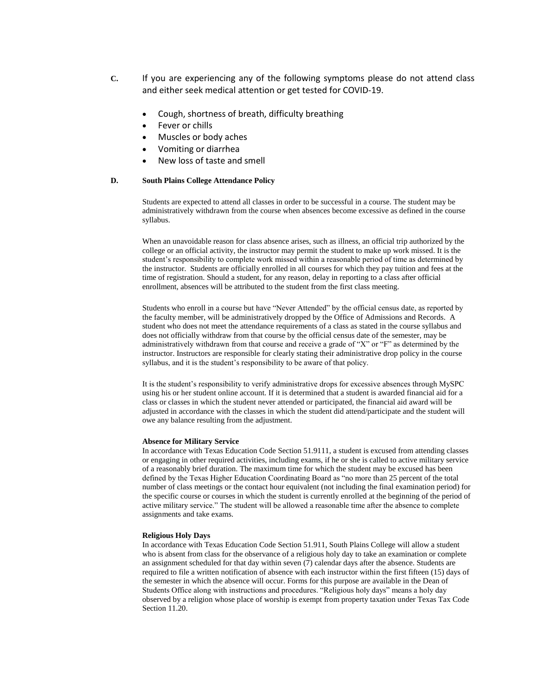- **C.** If you are experiencing any of the following symptoms please do not attend class and either seek medical attention or get tested for COVID-19.
	- Cough, shortness of breath, difficulty breathing
	- Fever or chills
	- Muscles or body aches
	- Vomiting or diarrhea
	- New loss of taste and smell

#### **D. South Plains College Attendance Policy**

Students are expected to attend all classes in order to be successful in a course. The student may be administratively withdrawn from the course when absences become excessive as defined in the course syllabus.

When an unavoidable reason for class absence arises, such as illness, an official trip authorized by the college or an official activity, the instructor may permit the student to make up work missed. It is the student's responsibility to complete work missed within a reasonable period of time as determined by the instructor. Students are officially enrolled in all courses for which they pay tuition and fees at the time of registration. Should a student, for any reason, delay in reporting to a class after official enrollment, absences will be attributed to the student from the first class meeting.

Students who enroll in a course but have "Never Attended" by the official census date, as reported by the faculty member, will be administratively dropped by the Office of Admissions and Records. A student who does not meet the attendance requirements of a class as stated in the course syllabus and does not officially withdraw from that course by the official census date of the semester, may be administratively withdrawn from that course and receive a grade of "X" or "F" as determined by the instructor. Instructors are responsible for clearly stating their administrative drop policy in the course syllabus, and it is the student's responsibility to be aware of that policy.

It is the student's responsibility to verify administrative drops for excessive absences through MySPC using his or her student online account. If it is determined that a student is awarded financial aid for a class or classes in which the student never attended or participated, the financial aid award will be adjusted in accordance with the classes in which the student did attend/participate and the student will owe any balance resulting from the adjustment.

#### **Absence for Military Service**

In accordance with Texas Education Code Section 51.9111, a student is excused from attending classes or engaging in other required activities, including exams, if he or she is called to active military service of a reasonably brief duration. The maximum time for which the student may be excused has been defined by the Texas Higher Education Coordinating Board as "no more than 25 percent of the total number of class meetings or the contact hour equivalent (not including the final examination period) for the specific course or courses in which the student is currently enrolled at the beginning of the period of active military service." The student will be allowed a reasonable time after the absence to complete assignments and take exams.

#### **Religious Holy Days**

In accordance with Texas Education Code Section 51.911, South Plains College will allow a student who is absent from class for the observance of a religious holy day to take an examination or complete an assignment scheduled for that day within seven (7) calendar days after the absence. Students are required to file a written notification of absence with each instructor within the first fifteen (15) days of the semester in which the absence will occur. Forms for this purpose are available in the Dean of Students Office along with instructions and procedures. "Religious holy days" means a holy day observed by a religion whose place of worship is exempt from property taxation under Texas Tax Code Section 11.20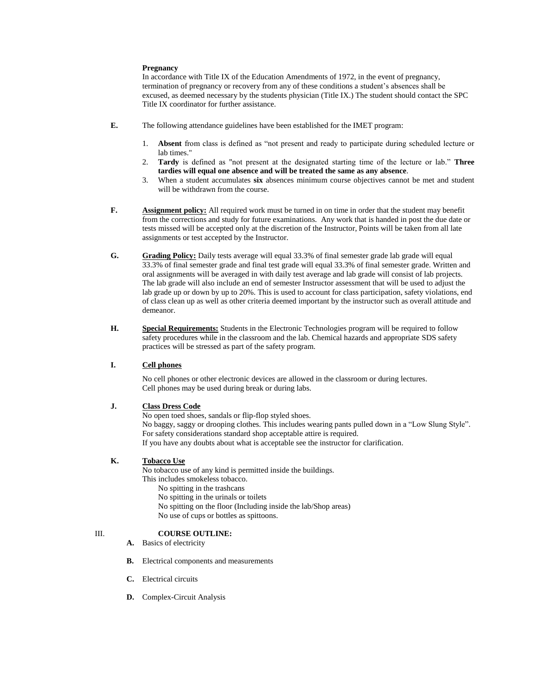#### **Pregnancy**

In accordance with Title IX of the Education Amendments of 1972, in the event of pregnancy, termination of pregnancy or recovery from any of these conditions a student's absences shall be excused, as deemed necessary by the students physician (Title IX.) The student should contact the SPC Title IX coordinator for further assistance.

- **E.** The following attendance guidelines have been established for the IMET program:
	- 1. **Absent** from class is defined as "not present and ready to participate during scheduled lecture or lab times."
	- 2. **Tardy** is defined as "not present at the designated starting time of the lecture or lab." **Three tardies will equal one absence and will be treated the same as any absence**.
	- 3. When a student accumulates **six** absences minimum course objectives cannot be met and student will be withdrawn from the course.
- **F. Assignment policy:** All required work must be turned in on time in order that the student may benefit from the corrections and study for future examinations. Any work that is handed in post the due date or tests missed will be accepted only at the discretion of the Instructor, Points will be taken from all late assignments or test accepted by the Instructor.
- **G. Grading Policy:** Daily tests average will equal 33.3% of final semester grade lab grade will equal 33.3% of final semester grade and final test grade will equal 33.3% of final semester grade. Written and oral assignments will be averaged in with daily test average and lab grade will consist of lab projects. The lab grade will also include an end of semester Instructor assessment that will be used to adjust the lab grade up or down by up to 20%. This is used to account for class participation, safety violations, end of class clean up as well as other criteria deemed important by the instructor such as overall attitude and demeanor.
- **H. Special Requirements:** Students in the Electronic Technologies program will be required to follow safety procedures while in the classroom and the lab. Chemical hazards and appropriate SDS safety practices will be stressed as part of the safety program.

#### **I. Cell phones**

No cell phones or other electronic devices are allowed in the classroom or during lectures. Cell phones may be used during break or during labs.

#### **J. Class Dress Code**

No open toed shoes, sandals or flip-flop styled shoes. No baggy, saggy or drooping clothes. This includes wearing pants pulled down in a "Low Slung Style". For safety considerations standard shop acceptable attire is required. If you have any doubts about what is acceptable see the instructor for clarification.

#### **K. Tobacco Use**

No tobacco use of any kind is permitted inside the buildings. This includes smokeless tobacco.

- No spitting in the trashcans
- No spitting in the urinals or toilets
- No spitting on the floor (Including inside the lab/Shop areas)
- No use of cups or bottles as spittoons.

#### III. **COURSE OUTLINE:**

- **A.** Basics of electricity
- **B.** Electrical components and measurements
- **C.** Electrical circuits
- **D.** Complex-Circuit Analysis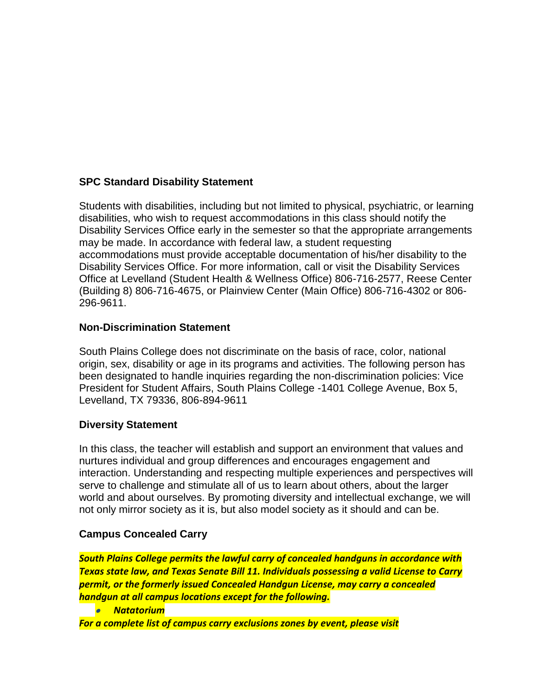## **SPC Standard Disability Statement**

Students with disabilities, including but not limited to physical, psychiatric, or learning disabilities, who wish to request accommodations in this class should notify the Disability Services Office early in the semester so that the appropriate arrangements may be made. In accordance with federal law, a student requesting accommodations must provide acceptable documentation of his/her disability to the Disability Services Office. For more information, call or visit the Disability Services Office at Levelland (Student Health & Wellness Office) 806-716-2577, Reese Center (Building 8) 806-716-4675, or Plainview Center (Main Office) 806-716-4302 or 806- 296-9611.

## **Non-Discrimination Statement**

South Plains College does not discriminate on the basis of race, color, national origin, sex, disability or age in its programs and activities. The following person has been designated to handle inquiries regarding the non-discrimination policies: Vice President for Student Affairs, South Plains College -1401 College Avenue, Box 5, Levelland, TX 79336, 806-894-9611

## **Diversity Statement**

In this class, the teacher will establish and support an environment that values and nurtures individual and group differences and encourages engagement and interaction. Understanding and respecting multiple experiences and perspectives will serve to challenge and stimulate all of us to learn about others, about the larger world and about ourselves. By promoting diversity and intellectual exchange, we will not only mirror society as it is, but also model society as it should and can be.

## **Campus Concealed Carry**

*South Plains College permits the lawful carry of concealed handguns in accordance with Texas state law, and Texas Senate Bill 11. Individuals possessing a valid License to Carry permit, or the formerly issued Concealed Handgun License, may carry a concealed handgun at all campus locations except for the following.*

• *Natatorium*

*For a complete list of campus carry exclusions zones by event, please visit*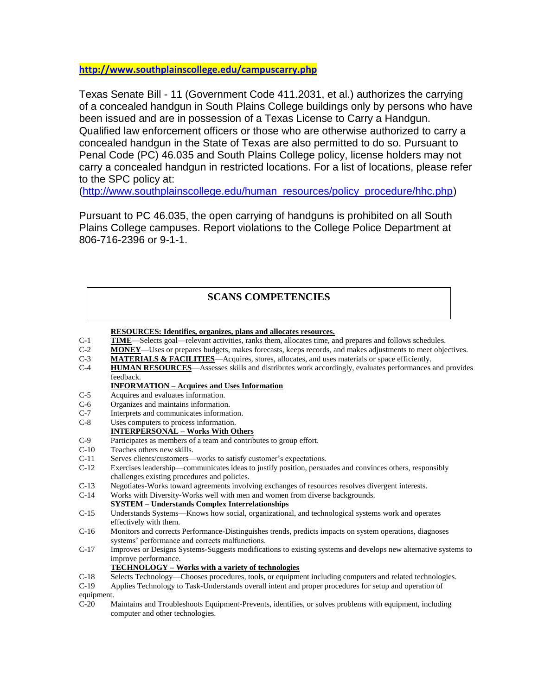**<http://www.southplainscollege.edu/campuscarry.php>**

Texas Senate Bill - 11 (Government Code 411.2031, et al.) authorizes the carrying of a concealed handgun in South Plains College buildings only by persons who have been issued and are in possession of a Texas License to Carry a Handgun. Qualified law enforcement officers or those who are otherwise authorized to carry a concealed handgun in the State of Texas are also permitted to do so. Pursuant to Penal Code (PC) 46.035 and South Plains College policy, license holders may not carry a concealed handgun in restricted locations. For a list of locations, please refer to the SPC policy at:

[\(http://www.southplainscollege.edu/human\\_resources/policy\\_procedure/hhc.php\)](http://www.southplainscollege.edu/human_resources/policy_procedure/hhc.php)

Pursuant to PC 46.035, the open carrying of handguns is prohibited on all South Plains College campuses. Report violations to the College Police Department at 806-716-2396 or 9-1-1.

## **SCANS COMPETENCIES**

**RESOURCES: Identifies, organizes, plans and allocates resources.**

- C-1 **TIME**—Selects goal—relevant activities, ranks them, allocates time, and prepares and follows schedules.
- C-2 **MONEY**—Uses or prepares budgets, makes forecasts, keeps records, and makes adjustments to meet objectives.
- C-3 **MATERIALS & FACILITIES**—Acquires, stores, allocates, and uses materials or space efficiently.
- C-4 **HUMAN RESOURCES**—Assesses skills and distributes work accordingly, evaluates performances and provides feedback.

### **INFORMATION – Acquires and Uses Information**

- C-5 Acquires and evaluates information.
- C-6 Organizes and maintains information.
- C-7 Interprets and communicates information.
- C-8 Uses computers to process information.
- **INTERPERSONAL – Works With Others**
- C-9 Participates as members of a team and contributes to group effort.
- C-10 Teaches others new skills.
- C-11 Serves clients/customers—works to satisfy customer's expectations.
- C-12 Exercises leadership—communicates ideas to justify position, persuades and convinces others, responsibly challenges existing procedures and policies.
- C-13 Negotiates-Works toward agreements involving exchanges of resources resolves divergent interests.
- C-14 Works with Diversity-Works well with men and women from diverse backgrounds.

### **SYSTEM – Understands Complex Interrelationships**

- C-15 Understands Systems—Knows how social, organizational, and technological systems work and operates effectively with them.
- C-16 Monitors and corrects Performance-Distinguishes trends, predicts impacts on system operations, diagnoses systems' performance and corrects malfunctions.
- C-17 Improves or Designs Systems-Suggests modifications to existing systems and develops new alternative systems to improve performance.
	- **TECHNOLOGY – Works with a variety of technologies**
- C-18 Selects Technology—Chooses procedures, tools, or equipment including computers and related technologies.
- C-19 Applies Technology to Task-Understands overall intent and proper procedures for setup and operation of equipment.
- C-20 Maintains and Troubleshoots Equipment-Prevents, identifies, or solves problems with equipment, including computer and other technologies.